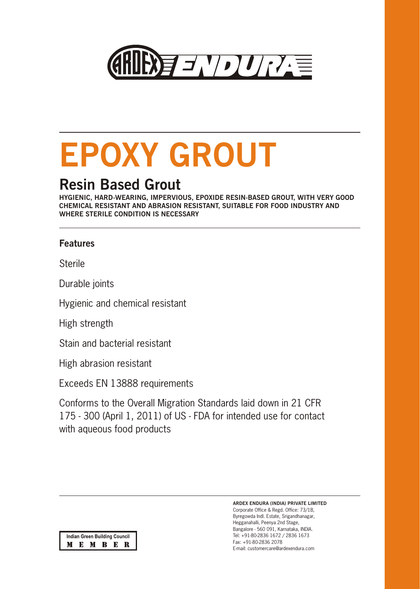

# **EPOXY GROUT**

## **Resin Based Grout**

**HYGIENIC, HARD-WEARING, IMPERVIOUS, EPOXIDE RESIN-BASED GROUT, WITH VERY GOOD CHEMICAL RESISTANT AND ABRASION RESISTANT, SUITABLE FOR FOOD INDUSTRY AND WHERE STERILE CONDITION IS NECESSARY**

#### **Features**

**Sterile** 

Durable joints

Hygienic and chemical resistant

High strength

Stain and bacterial resistant

High abrasion resistant

Exceeds EN 13888 requirements

Conforms to the Overall Migration Standards laid down in 21 CFR 175 - 300 (April 1, 2011) of US - FDA for intended use for contact with aqueous food products

**ARDEX ENDURA (INDIA) PRIVATE LIMITED**

Corporate Office & Regd. Office: 73/1B, Byregowda Indl. Estate, Srigandhanagar, Hegganahalli, Peenya 2nd Stage, Bangalore - 560 091, Karnataka, INDIA. Tel: +91-80-2836 1672 / 2836 1673 Fax: +91-80-2836 2078 E-mail: customercare@ardexendura.com

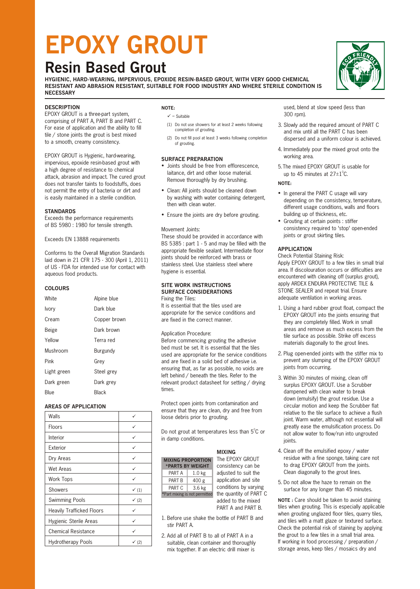## **EPOXY GROUT**

### **Resin Based Grout**

**HYGIENIC, HARD-WEARING, IMPERVIOUS, EPOXIDE RESIN-BASED GROUT, WITH VERY GOOD CHEMICAL RESISTANT AND ABRASION RESISTANT, SUITABLE FOR FOOD INDUSTRY AND WHERE STERILE CONDITION IS NECESSARY**

#### **DESCRIPTION**

EPOXY GROUT is a three-part system, comprising of PART A, PART B and PART C. For ease of application and the ability to fill tile / stone joints the grout is best mixed to a smooth, creamy consistency.

EPOXY GROUT is Hygienic, hard-wearing, impervious, epoxide resin-based grout with a high degree of resistance to chemical attack, abrasion and impact. The cured grout does not transfer taints to foodstuffs, does not permit the entry of bacteria or dirt and is easily maintained in a sterile condition.

#### **STANDARDS**

Exceeds the performance requirements of BS 5980 : 1980 for tensile strength.

Exceeds EN 13888 requirements

Conforms to the Overall Migration Standards laid down in 21 CFR 175 - 300 (April 1, 2011) of US - FDA for intended use for contact with aqueous food products.

#### **COLOURS**

| White       | Alpine blue  |
|-------------|--------------|
| Ivory       | Dark blue    |
| Cream       | Copper brown |
| Beige       | Dark brown   |
| Yellow      | Terra red    |
|             |              |
| Mushroom    | Burgundy     |
| Pink        | Grey         |
| Light green | Steel grey   |
| Dark green  | Dark grey    |

#### **AREAS OF APPLICATION**

| Walls                            | ✓                |
|----------------------------------|------------------|
| Floors                           | ✓                |
| Interior                         |                  |
| Exterior                         | ✓                |
| Dry Areas                        |                  |
| Wet Areas                        |                  |
| Work Tops                        | ✓                |
| <b>Showers</b>                   | $\checkmark$ (1) |
| <b>Swimming Pools</b>            | $\checkmark$ (2) |
| <b>Heavily Trafficked Floors</b> | ✓                |
| Hygienic Sterile Areas           | ✓                |
| <b>Chemical Resistance</b>       |                  |
| Hydrotherapy Pools               | $\checkmark$ (2) |

#### **NOTE:**

- $\checkmark$  = Suitable
- (1) Do not use showers for at least 2 weeks following completion of grouting.
- (2) Do not fill pool at least 3 weeks following completion of grouting.

#### **SURFACE PREPARATION**

- Joints should be free from efflorescence, laitance, dirt and other loose material. Remove thoroughly by dry brushing.
- Clean: All joints should be cleaned down by washing with water containing detergent, then with clean water.
- Ensure the joints are dry before grouting.

#### Movement Joints:

These should be provided in accordance with BS 5385 : part 1 - 5 and may be filled with the appropriate flexible sealant. Intermediate floor joints should be reinforced with brass or stainless steel. Use stainless steel where hygiene is essential.

#### **SITE WORK INSTRUCTIONS SURFACE CONSIDERATIONS** Fixing the Tiles:

It is essential that the tiles used are appropriate for the service conditions and are fixed in the correct manner.

#### Application Procedure:

Before commencing grouting the adhesive bed must be set. It is essential that the tiles used are appropriate for the service conditions and are fixed in a solid bed of adhesive i.e. ensuring that, as far as possible, no voids are left behind / beneath the tiles. Refer to the relevant product datasheet for setting / drying times.

Protect open joints from contamination and ensure that they are clean, dry and free from loose debris prior to grouting.

Do not grout at temperatures less than 5°C or in damp conditions.

#### **MIXING**

| <b>MIXING PROPORTION</b><br>*PARTS BY WEIGHT |                   |  |  |  |
|----------------------------------------------|-------------------|--|--|--|
| PART A                                       | 1.0 <sub>kg</sub> |  |  |  |
| PART B                                       | 400 g             |  |  |  |
| PART C                                       | 3.6 <sub>kg</sub> |  |  |  |
| *Part mixing is not permitted                |                   |  |  |  |

The EPOXY GROUT consistency can be adjusted to suit the application and site conditions by varying the quantity of PART C added to the mixed PART A and PART B.

- 1. Before use shake the bottle of PART B and stir PART A.
- 2. Add all of PART B to all of PART A in a suitable, clean container and thoroughly mix together. If an electric drill mixer is

used, blend at slow speed (less than 300 rpm).

- 3. Slowly add the required amount of PART C and mix until all the PART C has been dispersed and a uniform colour is achieved.
- 4. Immediately pour the mixed grout onto the working area.
- 5. The mixed EPOXY GROUT is usable for up to 45 minutes at  $27 \pm 1^{\circ}$ C.

#### **NOTE:**

- In general the PART C usage will vary depending on the consistency, temperature, different usage conditions, walls and floors building up of thickness, etc.
- Grouting at certain points : stiffer consistency required to 'stop' open-ended joints or grout skirting tiles.

#### **APPLICATION**

Check Potential Staining Risk: Apply EPOXY GROUT to a few tiles in small trial area. If discolouration occurs or difficulties are encountered with cleaning off (surplus grout), apply ARDEX ENDURA PROTECTIVE TILE & STONE SEALER and repeat trial. Ensure adequate ventilation in working areas.

- 1. Using a hard rubber grout float, compact the EPOXY GROUT into the joints ensuring that they are completely filled. Work in small areas and remove as much excess from the tile surface as possible. Strike off excess materials diagonally to the grout lines.
- 2. Plug open-ended joints with the stiffer mix to prevent any slumping of the EPOXY GROUT joints from occurring.
- 3. Within 30 minutes of mixing, clean off surplus EPOXY GROUT. Use a Scrubber dampened with clean water to break down (emulsify) the grout residue. Use a circular motion and keep the Scrubber flat relative to the tile surface to achieve a flush joint. Warm water, although not essential will greatly ease the emulsification process. Do not allow water to flow/run into ungrouted joints.
- 4. Clean off the emulsified epoxy / water residue with a fine sponge, taking care not to drag EPOXY GROUT from the joints. Clean diagonally to the grout lines.
- 5. Do not allow the haze to remain on the surface for any longer than 45 minutes.

**NOTE :** Care should be taken to avoid staining tiles when grouting. This is especially applicable when grouting unglazed floor tiles, quarry tiles, and tiles with a matt glaze or textured surface. Check the potential risk of staining by applying the grout to a few tiles in a small trial area. If working in food processing / preparation / storage areas, keep tiles / mosaics dry and

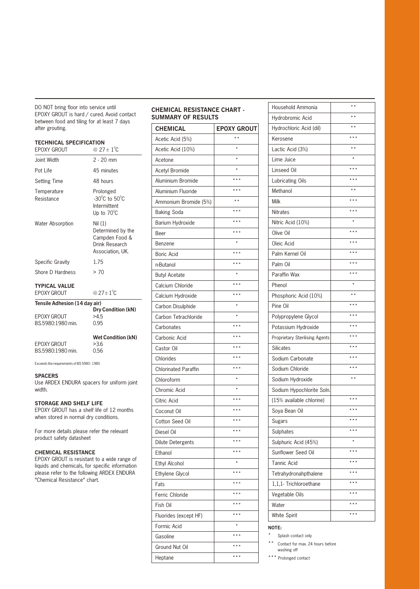DO NOT bring floor into service until EPOXY GROUT is hard / cured. Avoid contact between food and tiling for at least 7 days after grouting.

#### **TECHNICAL SPECIFICATION**

| ורטווויוטאב טו בטוו וטאווטוי<br><b>EPOXY GROUT</b> | @ 27 ± $1^{\circ}$ C                                                                   |
|----------------------------------------------------|----------------------------------------------------------------------------------------|
| Joint Width                                        | $2 - 20$ mm                                                                            |
| Pot Life                                           | 45 minutes                                                                             |
| <b>Setting Time</b>                                | 48 hours                                                                               |
| Temperature<br>Resistance                          | Prolonged<br>$-30^{\circ}$ C to $50^{\circ}$ C<br>Intermittent<br>Up to $70^{\circ}$ C |
| Water Absorption                                   | Nil (1)<br>Determined by the<br>Campden Food &<br>Drink Research<br>Association, UK.   |
| Specific Gravity                                   | 1.75                                                                                   |
| Shore D Hardness                                   | > 70                                                                                   |
| <b>TYPICAL VALUE</b>                               |                                                                                        |
| <b>EPOXY GROUT</b>                                 | @ 27 ± $1^{\circ}$ C                                                                   |
| Tensile Adhesion (14 day air)                      |                                                                                        |
| <b>EPOXY GROUT</b>                                 | <b>Dry Condition (kN)</b><br>>4.5                                                      |

| EPOXY GROUT<br>BS.5980:1980 min. | >4.5<br>0.95              |
|----------------------------------|---------------------------|
|                                  | <b>Wet Condition (kN)</b> |
| EPOXY GROUT                      | >3.6                      |

EPOXY GROUT BS.5980:1980 min. 0.56

Exceeds the requirements of BS 5980 : 1980

#### **SPACERS**

Use ARDEX ENDURA spacers for uniform joint width.

#### **STORAGE AND SHELF LIFE**

EPOXY GROUT has a shelf life of 12 months when stored in normal dry conditions.

For more details please refer the relevant product safety datasheet

#### **CHEMICAL RESISTANCE**

EPOXY GROUT is resistant to a wide range of liquids and chemicals, for specific information please refer to the following ARDEX ENDURA "Chemical Resistance" chart.

#### **CHEMICAL RESISTANCE CHART - SUMMARY OF RESULTS**

| Acetic Acid (5%)<br>$\star$<br>Acetic Acid (10%)<br>Acetone<br>Acetyl Bromide<br>Aluminium Bromide<br>$***$<br>Aluminium Fluoride<br>Ammonium Bromide (5%)<br>$***$<br><b>Baking Soda</b><br>$***$<br>Barium Hydroxide<br>$***$<br>Beer<br>Benzene<br>$***$<br><b>Boric Acid</b><br>$***$<br>n-Butanol<br><b>Butyl Acetate</b><br>Calcium Chloride<br>Calcium Hydroxide<br>Carbon Disulphide<br>Carbon Tetrachloride<br>$***$<br>Carbonates<br>$***$<br>Carbonic Acid<br>Castor Oil<br>* * *<br>Chlorides<br>$***$<br><b>Chlorinated Paraffin</b><br>Chloroform<br>Chromic Acid<br>Citric Acid<br>Coconut Oil<br>* * *<br>Cotton Seed Oil<br>Diesel Oil<br><b>Dilute Detergents</b><br>Ethanol<br>Ethyl Alcohol<br>Ethylene Glycol | <b>CHEMICAL</b> | <b>EPOXY GROUT</b> |
|------------------------------------------------------------------------------------------------------------------------------------------------------------------------------------------------------------------------------------------------------------------------------------------------------------------------------------------------------------------------------------------------------------------------------------------------------------------------------------------------------------------------------------------------------------------------------------------------------------------------------------------------------------------------------------------------------------------------------------|-----------------|--------------------|
|                                                                                                                                                                                                                                                                                                                                                                                                                                                                                                                                                                                                                                                                                                                                    |                 |                    |
|                                                                                                                                                                                                                                                                                                                                                                                                                                                                                                                                                                                                                                                                                                                                    |                 |                    |
|                                                                                                                                                                                                                                                                                                                                                                                                                                                                                                                                                                                                                                                                                                                                    |                 |                    |
|                                                                                                                                                                                                                                                                                                                                                                                                                                                                                                                                                                                                                                                                                                                                    |                 |                    |
|                                                                                                                                                                                                                                                                                                                                                                                                                                                                                                                                                                                                                                                                                                                                    |                 |                    |
|                                                                                                                                                                                                                                                                                                                                                                                                                                                                                                                                                                                                                                                                                                                                    |                 |                    |
|                                                                                                                                                                                                                                                                                                                                                                                                                                                                                                                                                                                                                                                                                                                                    |                 |                    |
|                                                                                                                                                                                                                                                                                                                                                                                                                                                                                                                                                                                                                                                                                                                                    |                 |                    |
|                                                                                                                                                                                                                                                                                                                                                                                                                                                                                                                                                                                                                                                                                                                                    |                 |                    |
|                                                                                                                                                                                                                                                                                                                                                                                                                                                                                                                                                                                                                                                                                                                                    |                 |                    |
|                                                                                                                                                                                                                                                                                                                                                                                                                                                                                                                                                                                                                                                                                                                                    |                 |                    |
|                                                                                                                                                                                                                                                                                                                                                                                                                                                                                                                                                                                                                                                                                                                                    |                 |                    |
|                                                                                                                                                                                                                                                                                                                                                                                                                                                                                                                                                                                                                                                                                                                                    |                 |                    |
|                                                                                                                                                                                                                                                                                                                                                                                                                                                                                                                                                                                                                                                                                                                                    |                 |                    |
|                                                                                                                                                                                                                                                                                                                                                                                                                                                                                                                                                                                                                                                                                                                                    |                 |                    |
|                                                                                                                                                                                                                                                                                                                                                                                                                                                                                                                                                                                                                                                                                                                                    |                 |                    |
|                                                                                                                                                                                                                                                                                                                                                                                                                                                                                                                                                                                                                                                                                                                                    |                 |                    |
|                                                                                                                                                                                                                                                                                                                                                                                                                                                                                                                                                                                                                                                                                                                                    |                 |                    |
|                                                                                                                                                                                                                                                                                                                                                                                                                                                                                                                                                                                                                                                                                                                                    |                 |                    |
|                                                                                                                                                                                                                                                                                                                                                                                                                                                                                                                                                                                                                                                                                                                                    |                 |                    |
|                                                                                                                                                                                                                                                                                                                                                                                                                                                                                                                                                                                                                                                                                                                                    |                 |                    |
|                                                                                                                                                                                                                                                                                                                                                                                                                                                                                                                                                                                                                                                                                                                                    |                 |                    |
|                                                                                                                                                                                                                                                                                                                                                                                                                                                                                                                                                                                                                                                                                                                                    |                 |                    |
|                                                                                                                                                                                                                                                                                                                                                                                                                                                                                                                                                                                                                                                                                                                                    |                 |                    |
|                                                                                                                                                                                                                                                                                                                                                                                                                                                                                                                                                                                                                                                                                                                                    |                 |                    |
|                                                                                                                                                                                                                                                                                                                                                                                                                                                                                                                                                                                                                                                                                                                                    |                 |                    |
|                                                                                                                                                                                                                                                                                                                                                                                                                                                                                                                                                                                                                                                                                                                                    |                 |                    |
|                                                                                                                                                                                                                                                                                                                                                                                                                                                                                                                                                                                                                                                                                                                                    |                 |                    |
|                                                                                                                                                                                                                                                                                                                                                                                                                                                                                                                                                                                                                                                                                                                                    |                 |                    |
|                                                                                                                                                                                                                                                                                                                                                                                                                                                                                                                                                                                                                                                                                                                                    |                 |                    |
|                                                                                                                                                                                                                                                                                                                                                                                                                                                                                                                                                                                                                                                                                                                                    |                 |                    |
|                                                                                                                                                                                                                                                                                                                                                                                                                                                                                                                                                                                                                                                                                                                                    |                 |                    |
|                                                                                                                                                                                                                                                                                                                                                                                                                                                                                                                                                                                                                                                                                                                                    |                 |                    |
| Fats                                                                                                                                                                                                                                                                                                                                                                                                                                                                                                                                                                                                                                                                                                                               |                 |                    |
| Ferric Chloride                                                                                                                                                                                                                                                                                                                                                                                                                                                                                                                                                                                                                                                                                                                    |                 |                    |
| * * *<br>Fish Oil                                                                                                                                                                                                                                                                                                                                                                                                                                                                                                                                                                                                                                                                                                                  |                 |                    |
| * * *<br>Fluorides (except HF)                                                                                                                                                                                                                                                                                                                                                                                                                                                                                                                                                                                                                                                                                                     |                 |                    |
| Formic Acid                                                                                                                                                                                                                                                                                                                                                                                                                                                                                                                                                                                                                                                                                                                        |                 |                    |
| Gasoline                                                                                                                                                                                                                                                                                                                                                                                                                                                                                                                                                                                                                                                                                                                           |                 |                    |
| Ground Nut Oil                                                                                                                                                                                                                                                                                                                                                                                                                                                                                                                                                                                                                                                                                                                     |                 |                    |
| Heptane                                                                                                                                                                                                                                                                                                                                                                                                                                                                                                                                                                                                                                                                                                                            |                 |                    |

| Household Ammonia                     | $\star$ $\star$ |
|---------------------------------------|-----------------|
| Hydrobromic Acid                      | $\star$ $\star$ |
| Hydrochloric Acid (dil)               |                 |
| Kerosene                              | $***$           |
| Lactic Acid (3%)                      | $\star$ $\star$ |
| Lime Juice                            |                 |
| Linseed Oil                           | $***$           |
| Lubricating Oils                      | $***$           |
| Methanol                              | $* *$           |
| Milk                                  | $***$           |
| <b>Nitrates</b>                       |                 |
| Nitric Acid (10%)                     |                 |
| Olive Oil                             | $***$           |
| Oleic Acid                            | $***$           |
| Palm Kernel Oil                       | $***$           |
| Palm Oil                              | $***$           |
| Paraffin Wax                          | $***$           |
| Phenol                                |                 |
|                                       |                 |
| Phosphoric Acid (10%)                 |                 |
| Pine Oil                              | $***$           |
| Polypropylene Glycol                  |                 |
| Potassium Hydroxide                   |                 |
| <b>Proprietary Sterilising Agents</b> | $***$           |
| <b>Silicates</b>                      | $***$           |
| Sodium Carbonate                      | * * *           |
| Sodium Chloride                       |                 |
| Sodium Hydroxide                      | $\star$ $\star$ |
| Sodium Hypochlorite Soln.             |                 |
| (15% available chlorine)              |                 |
| Soya Bean Oil                         |                 |
| Sugars                                |                 |
| Sulphates                             |                 |
| Sulphuric Acid (45%)                  |                 |
| Sunflower Seed Oil                    |                 |
| Tannic Acid                           |                 |
| Tetrahydronahpthalene                 |                 |
| 1,1,1- Trichloroethane                |                 |
| Vegetable Oils                        | * * *           |
| Water                                 | * * *           |
| White Spirit                          |                 |
|                                       |                 |

#### **NOTE:**

Splash contact only

\*\* Contact for max. 24 hours before washing off

\*\*\* Prolonged contact